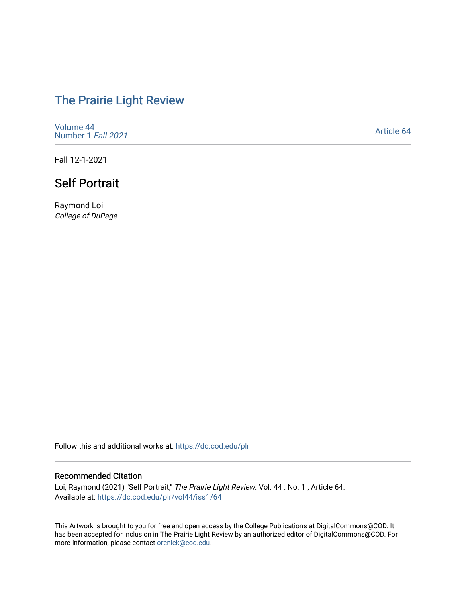## [The Prairie Light Review](https://dc.cod.edu/plr)

[Volume 44](https://dc.cod.edu/plr/vol44) [Number 1](https://dc.cod.edu/plr/vol44/iss1) Fall 2021

[Article 64](https://dc.cod.edu/plr/vol44/iss1/64) 

Fall 12-1-2021

## Self Portrait

Raymond Loi College of DuPage

Follow this and additional works at: [https://dc.cod.edu/plr](https://dc.cod.edu/plr?utm_source=dc.cod.edu%2Fplr%2Fvol44%2Fiss1%2F64&utm_medium=PDF&utm_campaign=PDFCoverPages) 

## Recommended Citation

Loi, Raymond (2021) "Self Portrait," The Prairie Light Review: Vol. 44 : No. 1 , Article 64. Available at: [https://dc.cod.edu/plr/vol44/iss1/64](https://dc.cod.edu/plr/vol44/iss1/64?utm_source=dc.cod.edu%2Fplr%2Fvol44%2Fiss1%2F64&utm_medium=PDF&utm_campaign=PDFCoverPages)

This Artwork is brought to you for free and open access by the College Publications at DigitalCommons@COD. It has been accepted for inclusion in The Prairie Light Review by an authorized editor of DigitalCommons@COD. For more information, please contact [orenick@cod.edu.](mailto:orenick@cod.edu)